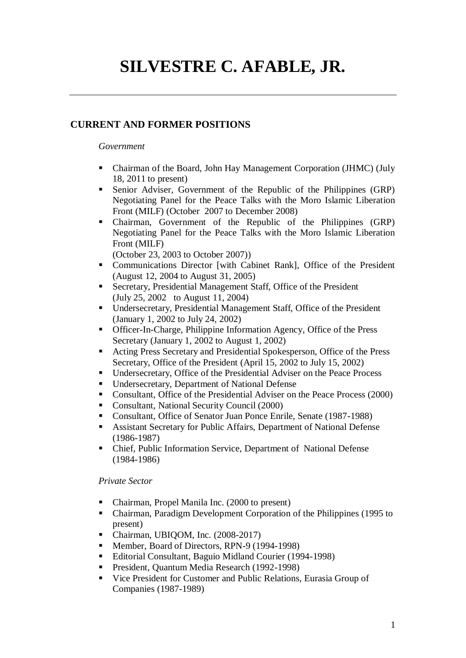# **SILVESTRE C. AFABLE, JR.**

### **CURRENT AND FORMER POSITIONS**

#### *Government*

- Chairman of the Board, John Hay Management Corporation (JHMC) (July 18, 2011 to present)
- Senior Adviser, Government of the Republic of the Philippines (GRP) Negotiating Panel for the Peace Talks with the Moro Islamic Liberation Front (MILF) (October 2007 to December 2008)
- Chairman, Government of the Republic of the Philippines (GRP) Negotiating Panel for the Peace Talks with the Moro Islamic Liberation Front (MILF)

(October 23, 2003 to October 2007))

- Communications Director [with Cabinet Rank], Office of the President (August 12, 2004 to August 31, 2005)
- Secretary, Presidential Management Staff, Office of the President (July 25, 2002 to August 11, 2004)
- Undersecretary, Presidential Management Staff, Office of the President (January 1, 2002 to July 24, 2002)
- Officer-In-Charge, Philippine Information Agency, Office of the Press Secretary (January 1, 2002 to August 1, 2002)
- Acting Press Secretary and Presidential Spokesperson, Office of the Press Secretary, Office of the President (April 15, 2002 to July 15, 2002)
- Undersecretary, Office of the Presidential Adviser on the Peace Process
- Undersecretary, Department of National Defense
- Consultant, Office of the Presidential Adviser on the Peace Process (2000)
- Consultant, National Security Council (2000)
- Consultant, Office of Senator Juan Ponce Enrile, Senate (1987-1988)
- Assistant Secretary for Public Affairs, Department of National Defense (1986-1987)
- Chief, Public Information Service, Department of National Defense (1984-1986)

#### *Private Sector*

- Chairman, Propel Manila Inc. (2000 to present)
- Chairman, Paradigm Development Corporation of the Philippines (1995 to present)
- Chairman, UBIQOM, Inc. (2008-2017)
- Member, Board of Directors, RPN-9 (1994-1998)
- Editorial Consultant, Baguio Midland Courier (1994-1998)
- President, Quantum Media Research (1992-1998)
- Vice President for Customer and Public Relations, Eurasia Group of Companies (1987-1989)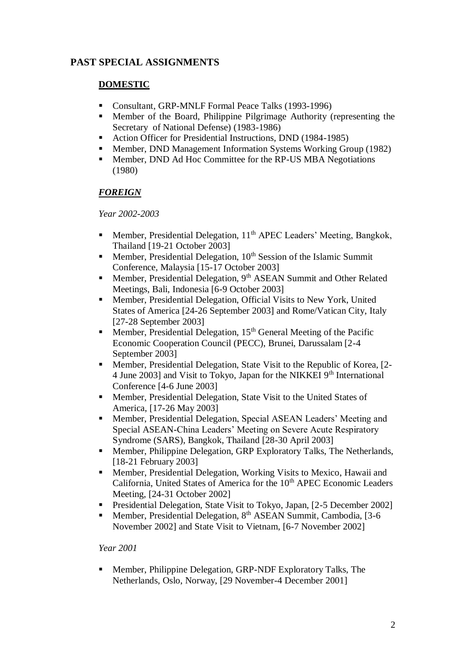# **PAST SPECIAL ASSIGNMENTS**

## **DOMESTIC**

- Consultant, GRP-MNLF Formal Peace Talks (1993-1996)
- Member of the Board, Philippine Pilgrimage Authority (representing the Secretary of National Defense) (1983-1986)
- Action Officer for Presidential Instructions, DND (1984-1985)
- **Member, DND Management Information Systems Working Group (1982)**
- Member, DND Ad Hoc Committee for the RP-US MBA Negotiations (1980)

## *FOREIGN*

#### *Year 2002-2003*

- Member, Presidential Delegation, 11<sup>th</sup> APEC Leaders' Meeting, Bangkok, Thailand [19-21 October 2003]
- **Member, Presidential Delegation,**  $10<sup>th</sup>$  **Session of the Islamic Summit** Conference, Malaysia [15-17 October 2003]
- **Member, Presidential Delegation, 9<sup>th</sup> ASEAN Summit and Other Related** Meetings, Bali, Indonesia [6-9 October 2003]
- Member, Presidential Delegation, Official Visits to New York, United States of America [24-26 September 2003] and Rome/Vatican City, Italy [27-28 September 2003]
- Member, Presidential Delegation,  $15<sup>th</sup>$  General Meeting of the Pacific Economic Cooperation Council (PECC), Brunei, Darussalam [2-4 September 2003]
- Member, Presidential Delegation, State Visit to the Republic of Korea, [2- 4 June 2003] and Visit to Tokyo, Japan for the NIKKEI 9<sup>th</sup> International Conference [4-6 June 2003]
- **Member, Presidential Delegation, State Visit to the United States of** America, [17-26 May 2003]
- Member, Presidential Delegation, Special ASEAN Leaders' Meeting and Special ASEAN-China Leaders' Meeting on Severe Acute Respiratory Syndrome (SARS), Bangkok, Thailand [28-30 April 2003]
- **Member, Philippine Delegation, GRP Exploratory Talks, The Netherlands,** [18-21 February 2003]
- Member, Presidential Delegation, Working Visits to Mexico, Hawaii and California, United States of America for the 10<sup>th</sup> APEC Economic Leaders Meeting, [24-31 October 2002]
- Presidential Delegation, State Visit to Tokyo, Japan, [2-5 December 2002]
- Member, Presidential Delegation, 8<sup>th</sup> ASEAN Summit, Cambodia, [3-6] November 2002] and State Visit to Vietnam, [6-7 November 2002]

#### *Year 2001*

 Member, Philippine Delegation, GRP-NDF Exploratory Talks, The Netherlands, Oslo, Norway, [29 November-4 December 2001]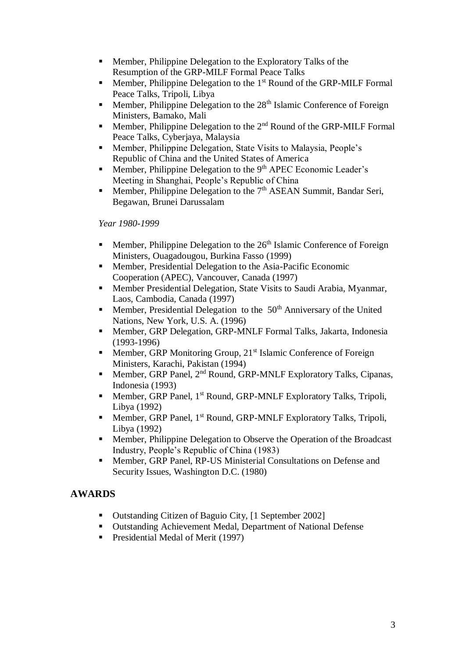- **Member, Philippine Delegation to the Exploratory Talks of the** Resumption of the GRP-MILF Formal Peace Talks
- **Member, Philippine Delegation to the**  $1<sup>st</sup>$  **Round of the GRP-MILF Formal** Peace Talks, Tripoli, Libya
- Member, Philippine Delegation to the  $28<sup>th</sup>$  Islamic Conference of Foreign Ministers, Bamako, Mali
- Member, Philippine Delegation to the  $2<sup>nd</sup>$  Round of the GRP-MILF Formal Peace Talks, Cyberjaya, Malaysia
- Member, Philippine Delegation, State Visits to Malaysia, People's Republic of China and the United States of America
- **Member, Philippine Delegation to the 9th APEC Economic Leader's** Meeting in Shanghai, People's Republic of China
- Member, Philippine Delegation to the 7<sup>th</sup> ASEAN Summit, Bandar Seri, Begawan, Brunei Darussalam

*Year 1980-1999*

- Member, Philippine Delegation to the 26<sup>th</sup> Islamic Conference of Foreign Ministers, Ouagadougou, Burkina Fasso (1999)
- Member, Presidential Delegation to the Asia-Pacific Economic Cooperation (APEC), Vancouver, Canada (1997)
- Member Presidential Delegation, State Visits to Saudi Arabia, Myanmar, Laos, Cambodia, Canada (1997)
- **Member, Presidential Delegation to the**  $50<sup>th</sup>$  **Anniversary of the United** Nations, New York, U.S. A. (1996)
- Member, GRP Delegation, GRP-MNLF Formal Talks, Jakarta, Indonesia (1993-1996)
- Member, GRP Monitoring Group,  $21<sup>st</sup>$  Islamic Conference of Foreign Ministers, Karachi, Pakistan (1994)
- Member, GRP Panel,  $2<sup>nd</sup>$  Round, GRP-MNLF Exploratory Talks, Cipanas, Indonesia (1993)
- **Member, GRP Panel, 1st Round, GRP-MNLF Exploratory Talks, Tripoli,** Libya (1992)
- **Member, GRP Panel, 1st Round, GRP-MNLF Exploratory Talks, Tripoli,** Libya (1992)
- **Member, Philippine Delegation to Observe the Operation of the Broadcast** Industry, People's Republic of China (1983)
- Member, GRP Panel, RP-US Ministerial Consultations on Defense and Security Issues, Washington D.C. (1980)

# **AWARDS**

- Outstanding Citizen of Baguio City, [1 September 2002]
- Outstanding Achievement Medal, Department of National Defense
- **Presidential Medal of Merit (1997)**